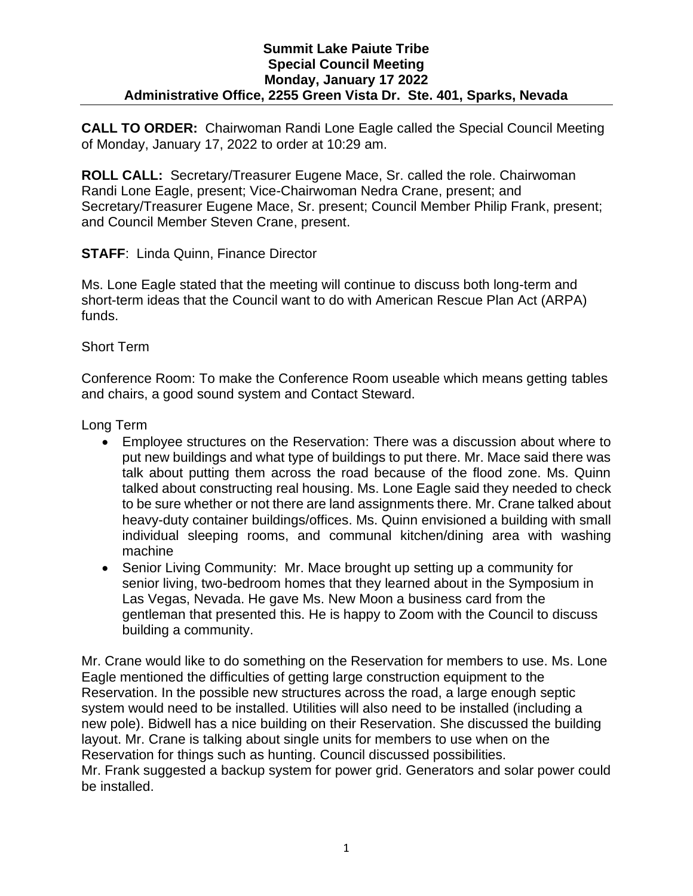**CALL TO ORDER:** Chairwoman Randi Lone Eagle called the Special Council Meeting of Monday, January 17, 2022 to order at 10:29 am.

**ROLL CALL:** Secretary/Treasurer Eugene Mace, Sr. called the role. Chairwoman Randi Lone Eagle, present; Vice-Chairwoman Nedra Crane, present; and Secretary/Treasurer Eugene Mace, Sr. present; Council Member Philip Frank, present; and Council Member Steven Crane, present.

**STAFF: Linda Quinn, Finance Director** 

Ms. Lone Eagle stated that the meeting will continue to discuss both long-term and short-term ideas that the Council want to do with American Rescue Plan Act (ARPA) funds.

Short Term

Conference Room: To make the Conference Room useable which means getting tables and chairs, a good sound system and Contact Steward.

Long Term

- Employee structures on the Reservation: There was a discussion about where to put new buildings and what type of buildings to put there. Mr. Mace said there was talk about putting them across the road because of the flood zone. Ms. Quinn talked about constructing real housing. Ms. Lone Eagle said they needed to check to be sure whether or not there are land assignments there. Mr. Crane talked about heavy-duty container buildings/offices. Ms. Quinn envisioned a building with small individual sleeping rooms, and communal kitchen/dining area with washing machine
- Senior Living Community: Mr. Mace brought up setting up a community for senior living, two-bedroom homes that they learned about in the Symposium in Las Vegas, Nevada. He gave Ms. New Moon a business card from the gentleman that presented this. He is happy to Zoom with the Council to discuss building a community.

Mr. Crane would like to do something on the Reservation for members to use. Ms. Lone Eagle mentioned the difficulties of getting large construction equipment to the Reservation. In the possible new structures across the road, a large enough septic system would need to be installed. Utilities will also need to be installed (including a new pole). Bidwell has a nice building on their Reservation. She discussed the building layout. Mr. Crane is talking about single units for members to use when on the Reservation for things such as hunting. Council discussed possibilities.

Mr. Frank suggested a backup system for power grid. Generators and solar power could be installed.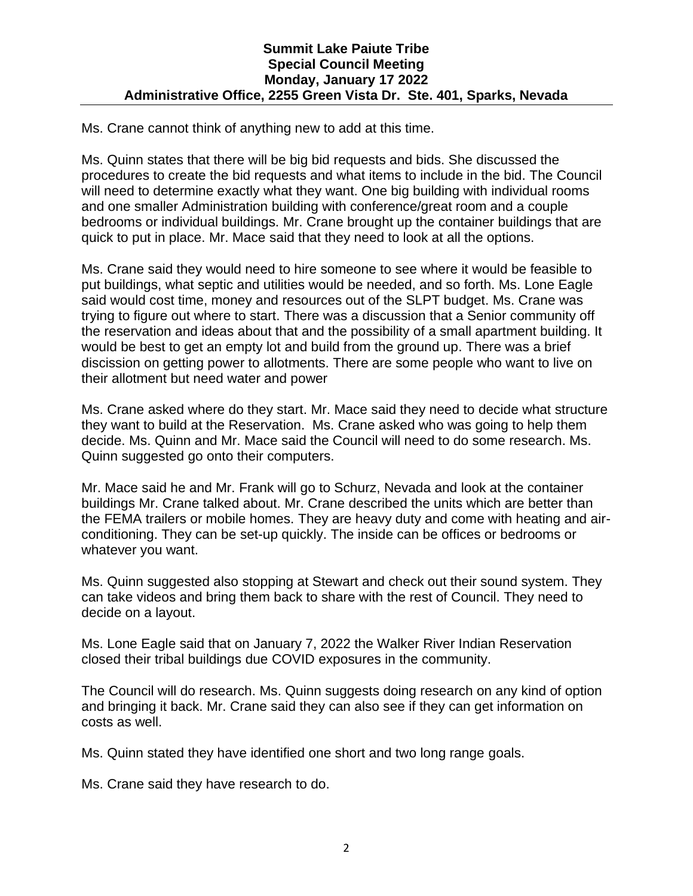Ms. Crane cannot think of anything new to add at this time.

Ms. Quinn states that there will be big bid requests and bids. She discussed the procedures to create the bid requests and what items to include in the bid. The Council will need to determine exactly what they want. One big building with individual rooms and one smaller Administration building with conference/great room and a couple bedrooms or individual buildings. Mr. Crane brought up the container buildings that are quick to put in place. Mr. Mace said that they need to look at all the options.

Ms. Crane said they would need to hire someone to see where it would be feasible to put buildings, what septic and utilities would be needed, and so forth. Ms. Lone Eagle said would cost time, money and resources out of the SLPT budget. Ms. Crane was trying to figure out where to start. There was a discussion that a Senior community off the reservation and ideas about that and the possibility of a small apartment building. It would be best to get an empty lot and build from the ground up. There was a brief discission on getting power to allotments. There are some people who want to live on their allotment but need water and power

Ms. Crane asked where do they start. Mr. Mace said they need to decide what structure they want to build at the Reservation. Ms. Crane asked who was going to help them decide. Ms. Quinn and Mr. Mace said the Council will need to do some research. Ms. Quinn suggested go onto their computers.

Mr. Mace said he and Mr. Frank will go to Schurz, Nevada and look at the container buildings Mr. Crane talked about. Mr. Crane described the units which are better than the FEMA trailers or mobile homes. They are heavy duty and come with heating and airconditioning. They can be set-up quickly. The inside can be offices or bedrooms or whatever you want.

Ms. Quinn suggested also stopping at Stewart and check out their sound system. They can take videos and bring them back to share with the rest of Council. They need to decide on a layout.

Ms. Lone Eagle said that on January 7, 2022 the Walker River Indian Reservation closed their tribal buildings due COVID exposures in the community.

The Council will do research. Ms. Quinn suggests doing research on any kind of option and bringing it back. Mr. Crane said they can also see if they can get information on costs as well.

Ms. Quinn stated they have identified one short and two long range goals.

Ms. Crane said they have research to do.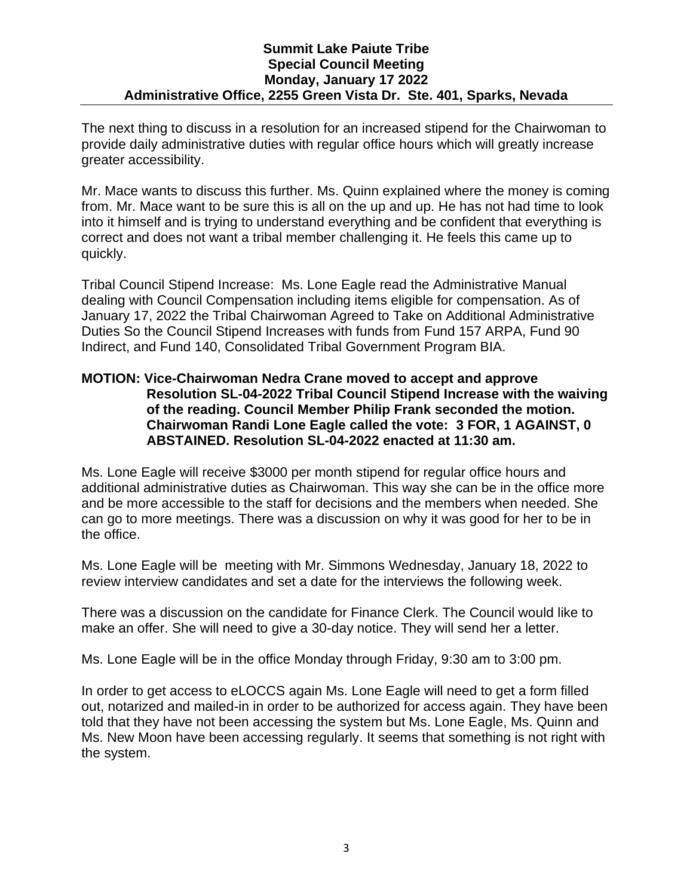The next thing to discuss in a resolution for an increased stipend for the Chairwoman to provide daily administrative duties with regular office hours which will greatly increase greater accessibility.

Mr. Mace wants to discuss this further. Ms. Quinn explained where the money is coming from. Mr. Mace want to be sure this is all on the up and up. He has not had time to look into it himself and is trying to understand everything and be confident that everything is correct and does not want a tribal member challenging it. He feels this came up to quickly.

Tribal Council Stipend Increase: Ms. Lone Eagle read the Administrative Manual dealing with Council Compensation including items eligible for compensation. As of January 17, 2022 the Tribal Chairwoman Agreed to Take on Additional Administrative Duties So the Council Stipend Increases with funds from Fund 157 ARPA, Fund 90 Indirect, and Fund 140, Consolidated Tribal Government Program BIA.

## **MOTION: Vice-Chairwoman Nedra Crane moved to accept and approve Resolution SL-04-2022 Tribal Council Stipend Increase with the waiving of the reading. Council Member Philip Frank seconded the motion. Chairwoman Randi Lone Eagle called the vote: 3 FOR, 1 AGAINST, 0 ABSTAINED. Resolution SL-04-2022 enacted at 11:30 am.**

Ms. Lone Eagle will receive \$3000 per month stipend for regular office hours and additional administrative duties as Chairwoman. This way she can be in the office more and be more accessible to the staff for decisions and the members when needed. She can go to more meetings. There was a discussion on why it was good for her to be in the office.

Ms. Lone Eagle will be meeting with Mr. Simmons Wednesday, January 18, 2022 to review interview candidates and set a date for the interviews the following week.

There was a discussion on the candidate for Finance Clerk. The Council would like to make an offer. She will need to give a 30-day notice. They will send her a letter.

Ms. Lone Eagle will be in the office Monday through Friday, 9:30 am to 3:00 pm.

In order to get access to eLOCCS again Ms. Lone Eagle will need to get a form filled out, notarized and mailed-in in order to be authorized for access again. They have been told that they have not been accessing the system but Ms. Lone Eagle, Ms. Quinn and Ms. New Moon have been accessing regularly. It seems that something is not right with the system.